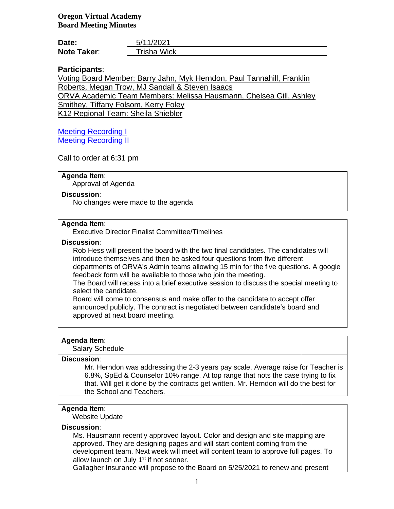**Oregon Virtual Academy Board Meeting Minutes**

| Date:              | 5/11/2021   |
|--------------------|-------------|
| <b>Note Taker:</b> | Trisha Wick |

# **Participants**:

Voting Board Member: Barry Jahn, Myk Herndon, Paul Tannahill, Franklin Roberts, Megan Trow, MJ Sandall & Steven Isaacs

ORVA Academic Team Members: Melissa Hausmann, Chelsea Gill, Ashley Smithey, Tiffany Folsom, Kerry Foley

K12 Regional Team: Sheila Shiebler

[Meeting Recording I](https://k12inc-my.sharepoint.com/:v:/g/personal/mecaldwell_oregonva_org/EYibyhSE6ZBGkzwq5MQ9vtsBgMmmkTSVNcxQL9mOlLxgzg) [Meeting Recording II](https://k12inc-my.sharepoint.com/:v:/g/personal/mecaldwell_oregonva_org/EYVoyVElz1pJmSwsNaWFCY0BViLYoKz0hloAhavfHmMvMw)

Call to order at 6:31 pm

**Agenda Item**:

Approval of Agenda

## **Discussion**:

No changes were made to the agenda

#### **Agenda Item**:

Executive Director Finalist Committee/Timelines

#### **Discussion**:

Rob Hess will present the board with the two final candidates. The candidates will introduce themselves and then be asked four questions from five different departments of ORVA's Admin teams allowing 15 min for the five questions. A google feedback form will be available to those who join the meeting.

The Board will recess into a brief executive session to discuss the special meeting to select the candidate.

Board will come to consensus and make offer to the candidate to accept offer announced publicly. The contract is negotiated between candidate's board and approved at next board meeting.

### **Agenda Item**:

Salary Schedule

# **Discussion**:

Mr. Herndon was addressing the 2-3 years pay scale. Average raise for Teacher is 6.8%, SpEd & Counselor 10% range. At top range that nots the case trying to fix that. Will get it done by the contracts get written. Mr. Herndon will do the best for the School and Teachers.

### **Agenda Item**:

Website Update

### **Discussion**:

Ms. Hausmann recently approved layout. Color and design and site mapping are approved. They are designing pages and will start content coming from the development team. Next week will meet will content team to approve full pages. To allow launch on July  $1<sup>st</sup>$  if not sooner.

Gallagher Insurance will propose to the Board on 5/25/2021 to renew and present